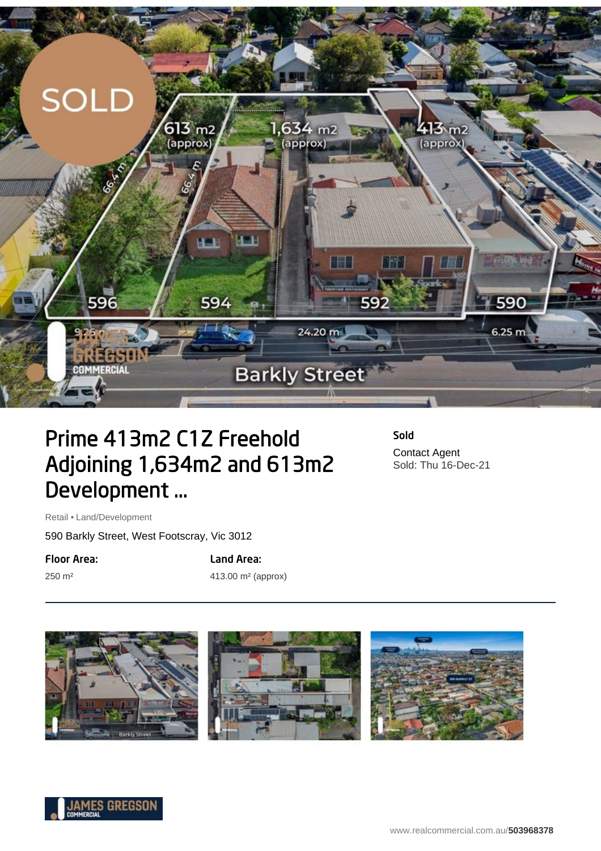

## Prime 413m2 C1Z Freehold Adjoining 1,634m2 and 613m2 Development ...

Sold Contact Agent Sold: Thu 16-Dec-21

Retail • Land/Development

590 Barkly Street, West Footscray, Vic 3012

Floor Area:

250 m²

Land Area: 413.00 m² (approx)